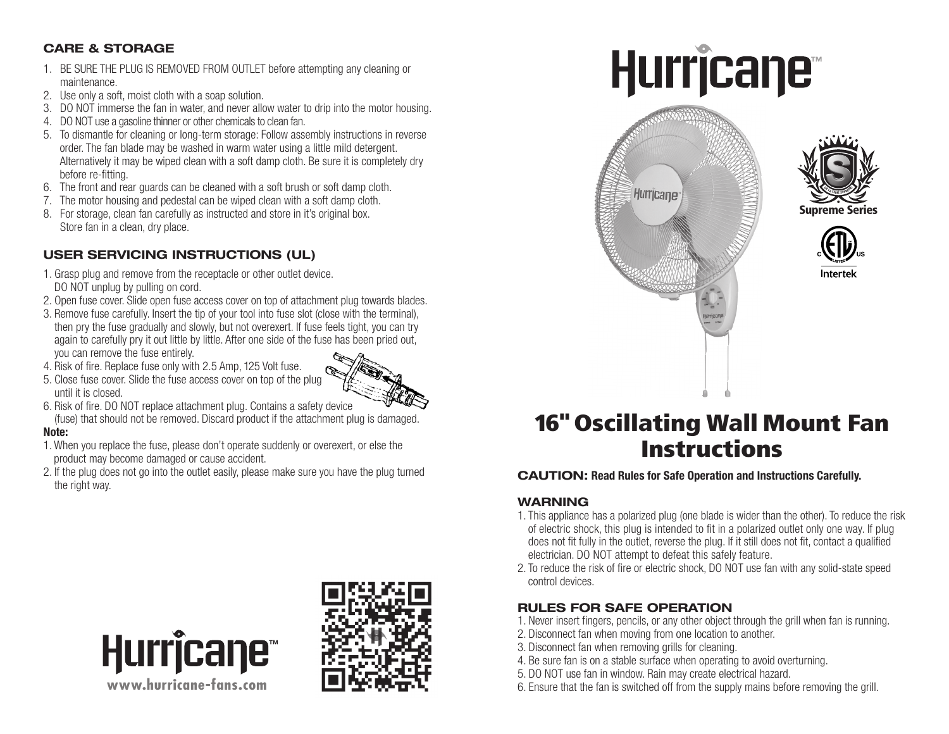# CARE & STORAGE

- 1. BE SURE THE PLUG IS REMOVED FROM OUTLET before attempting any cleaning or maintenance.
- 2. Use only a soft, moist cloth with a soap solution.
- 3. DO NOT immerse the fan in water, and never allow water to drip into the motor housing.
- 4. DO NOT use a gasoline thinner or other chemicals to clean fan.
- 5. To dismantle for cleaning or long-term storage: Follow assembly instructions in reverse order. The fan blade may be washed in warm water using a little mild detergent. Alternatively it may be wiped clean with a soft damp cloth. Be sure it is completely dry before re-fitting.
- 6. The front and rear guards can be cleaned with a soft brush or soft damp cloth.
- 7. The motor housing and pedestal can be wiped clean with a soft damp cloth.
- 8. For storage, clean fan carefully as instructed and store in it's original box. Store fan in a clean, dry place.

# USER SERVICING INSTRUCTIONS (UL)

- 1. Grasp plug and remove from the receptacle or other outlet device. DO NOT unplug by pulling on cord.
- 2. Open fuse cover. Slide open fuse access cover on top of attachment plug towards blades.
- 3. Remove fuse carefully. Insert the tip of your tool into fuse slot (close with the terminal), then pry the fuse gradually and slowly, but not overexert. If fuse feels tight, you can try again to carefully pry it out little by little. After one side of the fuse has been pried out, you can remove the fuse entirely.
- 4. Risk of fire. Replace fuse only with 2.5 Amp, 125 Volt fuse.
- 5. Close fuse cover. Slide the fuse access cover on top of the plug until it is closed.



- 6. Risk of fire. DO NOT replace attachment plug. Contains a safety device
- (fuse) that should not be removed. Discard product if the attachment plug is damaged.

#### Note:

- 1. When you replace the fuse, please don't operate suddenly or overexert, or else the product may become damaged or cause accident.
- 2. If the plug does not go into the outlet easily, please make sure you have the plug turned the right way.



# **Hurricane**







# 16" Oscillating Wall Mount Fan Instructions

## CAUTION: Read Rules for Safe Operation and Instructions Carefully.

## WARNING

- 1. This appliance has a polarized plug (one blade is wider than the other). To reduce the risk of electric shock, this plug is intended to fit in a polarized outlet only one way. If plug does not fit fully in the outlet, reverse the plug. If it still does not fit, contact a qualified electrician. DO NOT attempt to defeat this safely feature.
- 2. To reduce the risk of fire or electric shock, DO NOT use fan with any solid-state speed control devices.

# RULES FOR SAFE OPERATION

- 1. Never insert fingers, pencils, or any other object through the grill when fan is running.
- 2. Disconnect fan when moving from one location to another.
- 3. Disconnect fan when removing grills for cleaning.
- 4. Be sure fan is on a stable surface when operating to avoid overturning.
- 5. DO NOT use fan in window. Rain may create electrical hazard.
- 6. Ensure that the fan is switched off from the supply mains before removing the grill.